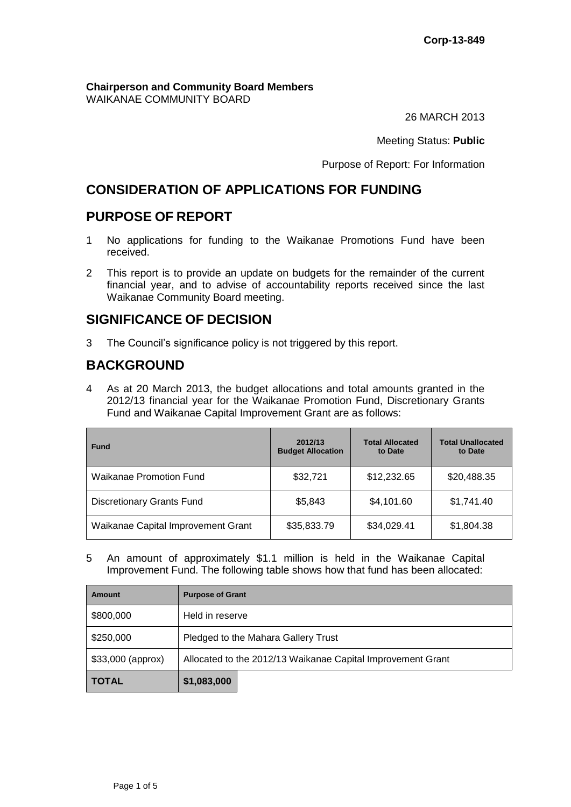#### **Chairperson and Community Board Members** WAIKANAE COMMUNITY BOARD

26 MARCH 2013

Meeting Status: **Public**

Purpose of Report: For Information

## **CONSIDERATION OF APPLICATIONS FOR FUNDING**

## **PURPOSE OF REPORT**

- 1 No applications for funding to the Waikanae Promotions Fund have been received.
- 2 This report is to provide an update on budgets for the remainder of the current financial year, and to advise of accountability reports received since the last Waikanae Community Board meeting.

## **SIGNIFICANCE OF DECISION**

3 The Council's significance policy is not triggered by this report.

## **BACKGROUND**

4 As at 20 March 2013, the budget allocations and total amounts granted in the 2012/13 financial year for the Waikanae Promotion Fund, Discretionary Grants Fund and Waikanae Capital Improvement Grant are as follows:

| <b>Fund</b>                        | 2012/13<br><b>Budget Allocation</b> | <b>Total Allocated</b><br>to Date | <b>Total Unallocated</b><br>to Date |
|------------------------------------|-------------------------------------|-----------------------------------|-------------------------------------|
| <b>Waikanae Promotion Fund</b>     | \$32,721                            | \$12,232.65                       | \$20,488.35                         |
| <b>Discretionary Grants Fund</b>   | \$5,843                             | \$4,101.60                        | \$1,741.40                          |
| Waikanae Capital Improvement Grant | \$35,833.79                         | \$34,029.41                       | \$1,804.38                          |

5 An amount of approximately \$1.1 million is held in the Waikanae Capital Improvement Fund. The following table shows how that fund has been allocated:

| <b>Amount</b>      | <b>Purpose of Grant</b>                                     |  |  |
|--------------------|-------------------------------------------------------------|--|--|
| \$800,000          | Held in reserve                                             |  |  |
| \$250,000          | Pledged to the Mahara Gallery Trust                         |  |  |
| $$33,000$ (approx) | Allocated to the 2012/13 Waikanae Capital Improvement Grant |  |  |
| <b>TOTAL</b>       | \$1,083,000                                                 |  |  |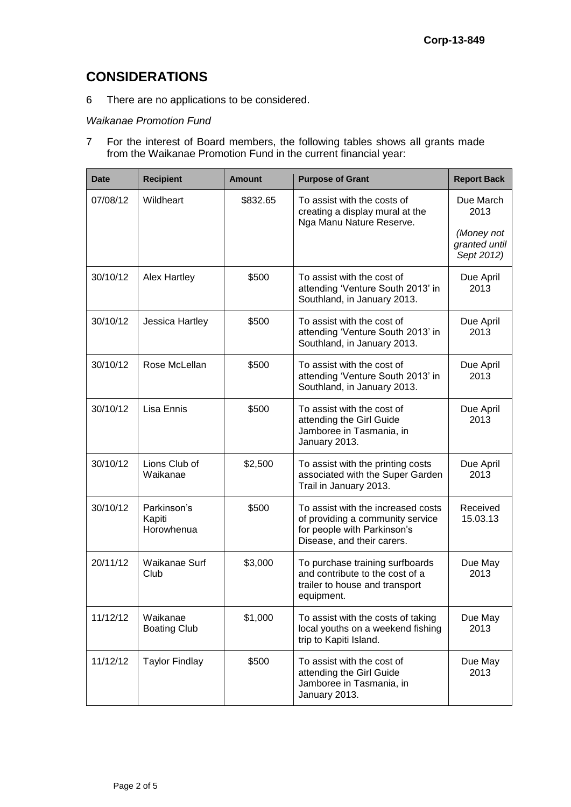## **CONSIDERATIONS**

6 There are no applications to be considered.

#### *Waikanae Promotion Fund*

7 For the interest of Board members, the following tables shows all grants made from the Waikanae Promotion Fund in the current financial year:

| <b>Date</b> | <b>Recipient</b>                    | Amount   | <b>Purpose of Grant</b>                                                                                                             | <b>Report Back</b>                                             |
|-------------|-------------------------------------|----------|-------------------------------------------------------------------------------------------------------------------------------------|----------------------------------------------------------------|
| 07/08/12    | Wildheart                           | \$832.65 | To assist with the costs of<br>creating a display mural at the<br>Nga Manu Nature Reserve.                                          | Due March<br>2013<br>(Money not<br>granted until<br>Sept 2012) |
| 30/10/12    | <b>Alex Hartley</b>                 | \$500    | To assist with the cost of<br>attending 'Venture South 2013' in<br>Southland, in January 2013.                                      | Due April<br>2013                                              |
| 30/10/12    | Jessica Hartley                     | \$500    | To assist with the cost of<br>attending 'Venture South 2013' in<br>Southland, in January 2013.                                      | Due April<br>2013                                              |
| 30/10/12    | Rose McLellan                       | \$500    | To assist with the cost of<br>attending 'Venture South 2013' in<br>Southland, in January 2013.                                      | Due April<br>2013                                              |
| 30/10/12    | Lisa Ennis                          | \$500    | To assist with the cost of<br>attending the Girl Guide<br>Jamboree in Tasmania, in<br>January 2013.                                 | Due April<br>2013                                              |
| 30/10/12    | Lions Club of<br>Waikanae           | \$2,500  | To assist with the printing costs<br>associated with the Super Garden<br>Trail in January 2013.                                     | Due April<br>2013                                              |
| 30/10/12    | Parkinson's<br>Kapiti<br>Horowhenua | \$500    | To assist with the increased costs<br>of providing a community service<br>for people with Parkinson's<br>Disease, and their carers. | Received<br>15.03.13                                           |
| 20/11/12    | Waikanae Surf<br>Club               | \$3,000  | To purchase training surfboards<br>and contribute to the cost of a<br>trailer to house and transport<br>equipment.                  | Due May<br>2013                                                |
| 11/12/12    | Waikanae<br><b>Boating Club</b>     | \$1,000  | To assist with the costs of taking<br>local youths on a weekend fishing<br>trip to Kapiti Island.                                   | Due May<br>2013                                                |
| 11/12/12    | <b>Taylor Findlay</b>               | \$500    | To assist with the cost of<br>attending the Girl Guide<br>Jamboree in Tasmania, in<br>January 2013.                                 | Due May<br>2013                                                |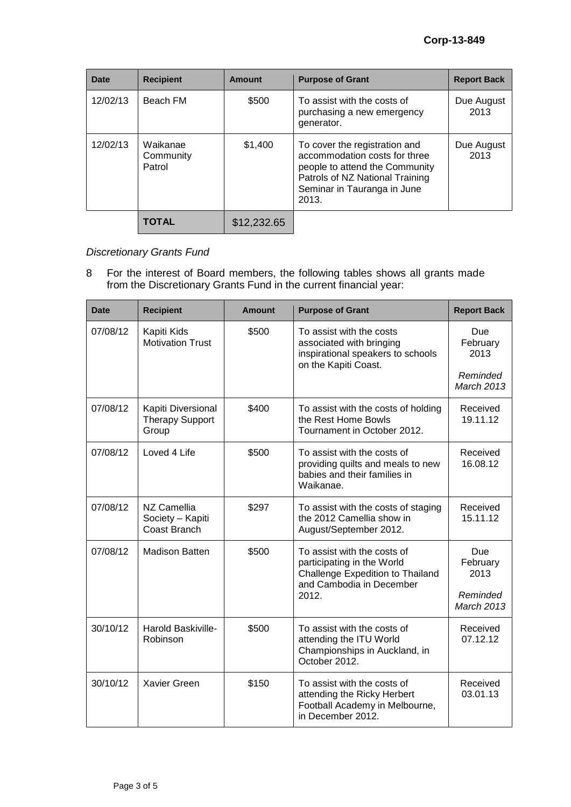| Date     | <b>Recipient</b>                | Amount      | <b>Purpose of Grant</b>                                                                                                                                                     | <b>Report Back</b> |
|----------|---------------------------------|-------------|-----------------------------------------------------------------------------------------------------------------------------------------------------------------------------|--------------------|
| 12/02/13 | Beach FM                        | \$500       | To assist with the costs of<br>purchasing a new emergency<br>generator.                                                                                                     | Due August<br>2013 |
| 12/02/13 | Waikanae<br>Community<br>Patrol | \$1,400     | To cover the registration and<br>accommodation costs for three<br>people to attend the Community<br>Patrols of NZ National Training<br>Seminar in Tauranga in June<br>2013. | Due August<br>2013 |
|          | <b>TOTAL</b>                    | \$12,232.65 |                                                                                                                                                                             |                    |

# *Discretionary Grants Fund*

8 For the interest of Board members, the following tables shows all grants made from the Discretionary Grants Fund in the current financial year:

| <b>Date</b> | <b>Recipient</b>                                      | <b>Amount</b> | <b>Purpose of Grant</b>                                                                                                            | <b>Report Back</b>                                       |
|-------------|-------------------------------------------------------|---------------|------------------------------------------------------------------------------------------------------------------------------------|----------------------------------------------------------|
| 07/08/12    | Kapiti Kids<br><b>Motivation Trust</b>                | \$500         | To assist with the costs<br>associated with bringing<br>inspirational speakers to schools<br>on the Kapiti Coast.                  | Due<br>February<br>2013<br>Reminded<br><b>March 2013</b> |
| 07/08/12    | Kapiti Diversional<br><b>Therapy Support</b><br>Group | \$400         | To assist with the costs of holding<br>the Rest Home Bowls<br>Tournament in October 2012.                                          | Received<br>19.11.12                                     |
| 07/08/12    | Loved 4 Life                                          | \$500         | To assist with the costs of<br>providing quilts and meals to new<br>babies and their families in<br>Waikanae.                      | Received<br>16.08.12                                     |
| 07/08/12    | NZ Camellia<br>Society - Kapiti<br>Coast Branch       | \$297         | To assist with the costs of staging<br>the 2012 Camellia show in<br>August/September 2012.                                         | Received<br>15.11.12                                     |
| 07/08/12    | <b>Madison Batten</b>                                 | \$500         | To assist with the costs of<br>participating in the World<br>Challenge Expedition to Thailand<br>and Cambodia in December<br>2012. | Due<br>February<br>2013<br>Reminded<br><b>March 2013</b> |
| 30/10/12    | Harold Baskiville-<br>Robinson                        | \$500         | To assist with the costs of<br>attending the ITU World<br>Championships in Auckland, in<br>October 2012.                           | Received<br>07.12.12                                     |
| 30/10/12    | <b>Xavier Green</b>                                   | \$150         | To assist with the costs of<br>attending the Ricky Herbert<br>Football Academy in Melbourne,<br>in December 2012.                  | Received<br>03.01.13                                     |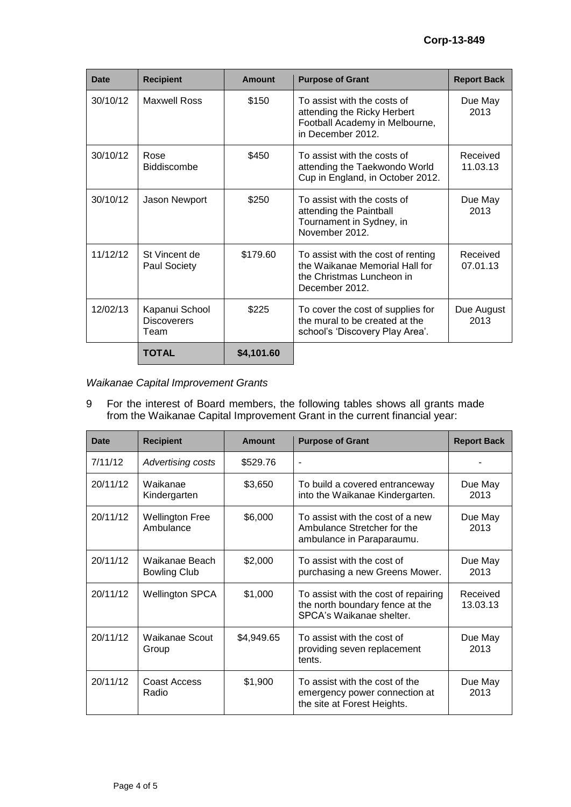| <b>Date</b> | <b>Recipient</b>                             | <b>Amount</b> | <b>Purpose of Grant</b>                                                                                             | <b>Report Back</b>   |
|-------------|----------------------------------------------|---------------|---------------------------------------------------------------------------------------------------------------------|----------------------|
| 30/10/12    | Maxwell Ross                                 | \$150         | To assist with the costs of<br>attending the Ricky Herbert<br>Football Academy in Melbourne,<br>in December 2012.   | Due May<br>2013      |
| 30/10/12    | Rose<br>Biddiscombe                          | \$450         | To assist with the costs of<br>attending the Taekwondo World<br>Cup in England, in October 2012.                    | Received<br>11.03.13 |
| 30/10/12    | Jason Newport                                | \$250         | To assist with the costs of<br>attending the Paintball<br>Tournament in Sydney, in<br>November 2012.                | Due May<br>2013      |
| 11/12/12    | St Vincent de<br>Paul Society                | \$179.60      | To assist with the cost of renting<br>the Waikanae Memorial Hall for<br>the Christmas Luncheon in<br>December 2012. | Received<br>07.01.13 |
| 12/02/13    | Kapanui School<br><b>Discoverers</b><br>Team | \$225         | To cover the cost of supplies for<br>the mural to be created at the<br>school's 'Discovery Play Area'.              | Due August<br>2013   |
|             | <b>TOTAL</b>                                 | \$4,101.60    |                                                                                                                     |                      |

*Waikanae Capital Improvement Grants* 

9 For the interest of Board members, the following tables shows all grants made from the Waikanae Capital Improvement Grant in the current financial year:

| Date     | <b>Recipient</b>                      | <b>Amount</b> | <b>Purpose of Grant</b>                                                                             | <b>Report Back</b>   |
|----------|---------------------------------------|---------------|-----------------------------------------------------------------------------------------------------|----------------------|
| 7/11/12  | <b>Advertising costs</b>              | \$529.76      |                                                                                                     |                      |
| 20/11/12 | Waikanae<br>Kindergarten              | \$3,650       | To build a covered entranceway<br>into the Waikanae Kindergarten.                                   | Due May<br>2013      |
| 20/11/12 | <b>Wellington Free</b><br>Ambulance   | \$6,000       | To assist with the cost of a new<br>Ambulance Stretcher for the<br>ambulance in Paraparaumu.        | Due May<br>2013      |
| 20/11/12 | Waikanae Beach<br><b>Bowling Club</b> | \$2,000       | To assist with the cost of<br>purchasing a new Greens Mower.                                        | Due May<br>2013      |
| 20/11/12 | <b>Wellington SPCA</b>                | \$1,000       | To assist with the cost of repairing<br>the north boundary fence at the<br>SPCA's Waikanae shelter. | Received<br>13.03.13 |
| 20/11/12 | Waikanae Scout<br>Group               | \$4,949.65    | To assist with the cost of<br>providing seven replacement<br>tents.                                 | Due May<br>2013      |
| 20/11/12 | Coast Access<br>Radio                 | \$1,900       | To assist with the cost of the<br>emergency power connection at<br>the site at Forest Heights.      | Due May<br>2013      |